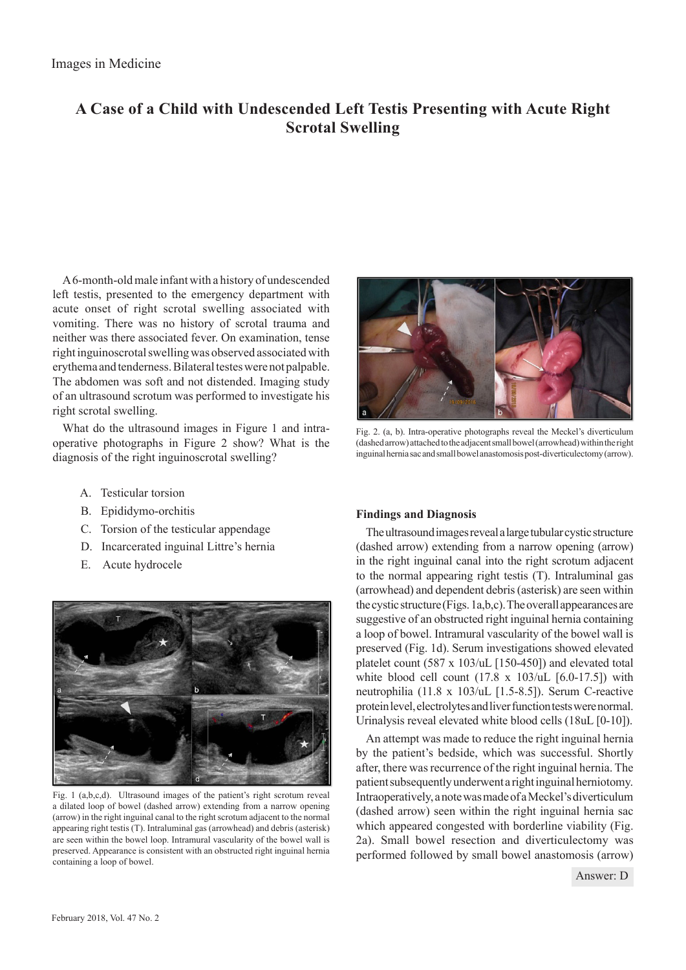# **A Case of a Child with Undescended Left Testis Presenting with Acute Right Scrotal Swelling**

A 6-month-old male infant with a history of undescended left testis, presented to the emergency department with acute onset of right scrotal swelling associated with vomiting. There was no history of scrotal trauma and neither was there associated fever. On examination, tense right inguinoscrotal swelling was observed associated with erythema and tenderness. Bilateral testes were not palpable. The abdomen was soft and not distended. Imaging study of an ultrasound scrotum was performed to investigate his right scrotal swelling.

What do the ultrasound images in Figure 1 and intraoperative photographs in Figure 2 show? What is the diagnosis of the right inguinoscrotal swelling?

- A. Testicular torsion
- B. Epididymo-orchitis
- C. Torsion of the testicular appendage
- D. Incarcerated inguinal Littre's hernia
- E. Acute hydrocele



Fig. 1 (a,b,c,d). Ultrasound images of the patient's right scrotum reveal a dilated loop of bowel (dashed arrow) extending from a narrow opening (arrow) in the right inguinal canal to the right scrotum adjacent to the normal appearing right testis (T). Intraluminal gas (arrowhead) and debris (asterisk) are seen within the bowel loop. Intramural vascularity of the bowel wall is preserved. Appearance is consistent with an obstructed right inguinal hernia containing a loop of bowel.



Fig. 2. (a, b). Intra-operative photographs reveal the Meckel's diverticulum (dashed arrow) attached to the adjacent small bowel (arrowhead) within the right inguinal hernia sac and small bowel anastomosis post-diverticulectomy (arrow).

## **Findings and Diagnosis**

The ultrasound images reveal a large tubular cystic structure (dashed arrow) extending from a narrow opening (arrow) in the right inguinal canal into the right scrotum adjacent to the normal appearing right testis (T). Intraluminal gas (arrowhead) and dependent debris (asterisk) are seen within the cystic structure (Figs. 1a,b,c). The overall appearances are suggestive of an obstructed right inguinal hernia containing a loop of bowel. Intramural vascularity of the bowel wall is preserved (Fig. 1d). Serum investigations showed elevated platelet count (587 x 103/uL [150-450]) and elevated total white blood cell count  $(17.8 \times 103/\mu)$  [6.0-17.5]) with neutrophilia (11.8 x 103/uL [1.5-8.5]). Serum C-reactive protein level, electrolytes and liver function tests were normal. Urinalysis reveal elevated white blood cells (18uL [0-10]).

An attempt was made to reduce the right inguinal hernia by the patient's bedside, which was successful. Shortly after, there was recurrence of the right inguinal hernia. The patient subsequently underwent a right inguinal herniotomy. Intraoperatively, a note was made of a Meckel's diverticulum (dashed arrow) seen within the right inguinal hernia sac which appeared congested with borderline viability (Fig. 2a). Small bowel resection and diverticulectomy was performed followed by small bowel anastomosis (arrow)

Answer: D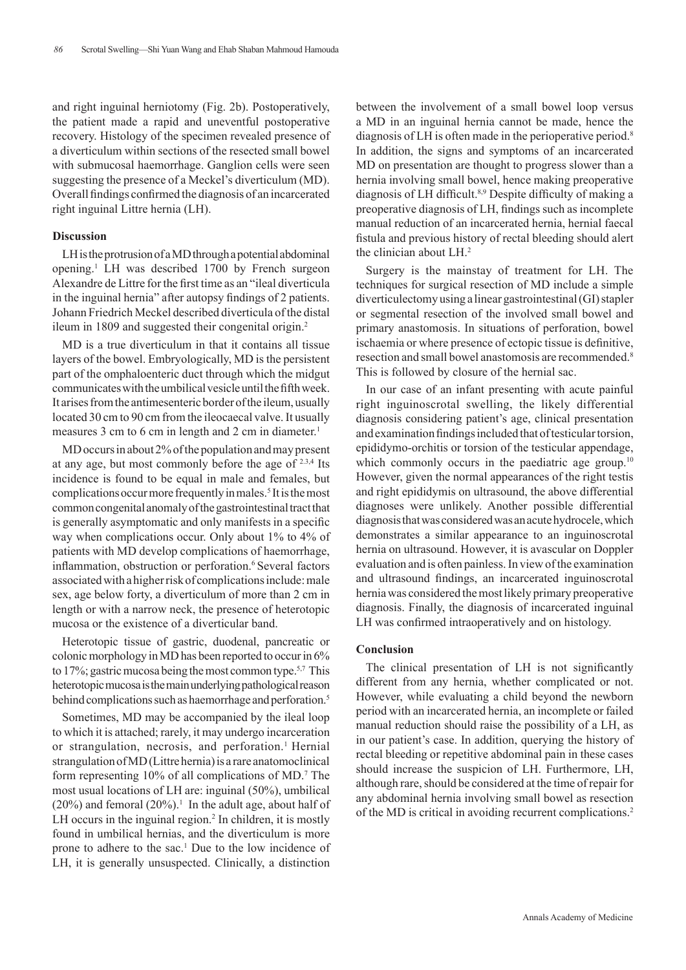and right inguinal herniotomy (Fig. 2b). Postoperatively, the patient made a rapid and uneventful postoperative recovery. Histology of the specimen revealed presence of a diverticulum within sections of the resected small bowel with submucosal haemorrhage. Ganglion cells were seen suggesting the presence of a Meckel's diverticulum (MD). Overall findings confirmed the diagnosis of an incarcerated right inguinal Littre hernia (LH).

#### **Discussion**

LH is the protrusion of a MD through a potential abdominal opening.1 LH was described 1700 by French surgeon Alexandre de Littre for the first time as an "ileal diverticula in the inguinal hernia" after autopsy findings of 2 patients. Johann Friedrich Meckel described diverticula of the distal ileum in 1809 and suggested their congenital origin.<sup>2</sup>

MD is a true diverticulum in that it contains all tissue layers of the bowel. Embryologically, MD is the persistent part of the omphaloenteric duct through which the midgut communicates with the umbilical vesicle until the fifth week. It arises from the antimesenteric border of the ileum, usually located 30 cm to 90 cm from the ileocaecal valve. It usually measures 3 cm to 6 cm in length and 2 cm in diameter.<sup>1</sup>

MD occurs in about 2% of the population and may present at any age, but most commonly before the age of 2.3,4 Its incidence is found to be equal in male and females, but complications occur more frequently in males.<sup>5</sup> It is the most common congenital anomaly of the gastrointestinal tract that is generally asymptomatic and only manifests in a specific way when complications occur. Only about 1% to 4% of patients with MD develop complications of haemorrhage, inflammation, obstruction or perforation.<sup>6</sup> Several factors associated with a higher risk of complications include: male sex, age below forty, a diverticulum of more than 2 cm in length or with a narrow neck, the presence of heterotopic mucosa or the existence of a diverticular band.

Heterotopic tissue of gastric, duodenal, pancreatic or colonic morphology in MD has been reported to occur in 6% to 17%; gastric mucosa being the most common type.5,7 This heterotopic mucosa is the main underlying pathological reason behind complications such as haemorrhage and perforation.<sup>5</sup>

Sometimes, MD may be accompanied by the ileal loop to which it is attached; rarely, it may undergo incarceration or strangulation, necrosis, and perforation.<sup>1</sup> Hernial strangulation of MD (Littre hernia) is a rare anatomoclinical form representing 10% of all complications of MD.<sup>7</sup> The most usual locations of LH are: inguinal (50%), umbilical  $(20\%)$  and femoral  $(20\%)$ <sup>1</sup>. In the adult age, about half of LH occurs in the inguinal region.<sup>2</sup> In children, it is mostly found in umbilical hernias, and the diverticulum is more prone to adhere to the sac.<sup>1</sup> Due to the low incidence of LH, it is generally unsuspected. Clinically, a distinction

between the involvement of a small bowel loop versus a MD in an inguinal hernia cannot be made, hence the diagnosis of LH is often made in the perioperative period.<sup>8</sup> In addition, the signs and symptoms of an incarcerated MD on presentation are thought to progress slower than a hernia involving small bowel, hence making preoperative diagnosis of LH difficult.<sup>8,9</sup> Despite difficulty of making a preoperative diagnosis of LH, findings such as incomplete manual reduction of an incarcerated hernia, hernial faecal fistula and previous history of rectal bleeding should alert the clinician about LH.2

Surgery is the mainstay of treatment for LH. The techniques for surgical resection of MD include a simple diverticulectomy using a linear gastrointestinal (GI) stapler or segmental resection of the involved small bowel and primary anastomosis. In situations of perforation, bowel ischaemia or where presence of ectopic tissue is definitive, resection and small bowel anastomosis are recommended.8 This is followed by closure of the hernial sac.

In our case of an infant presenting with acute painful right inguinoscrotal swelling, the likely differential diagnosis considering patient's age, clinical presentation and examination findings included that of testicular torsion, epididymo-orchitis or torsion of the testicular appendage, which commonly occurs in the paediatric age group.<sup>10</sup> However, given the normal appearances of the right testis and right epididymis on ultrasound, the above differential diagnoses were unlikely. Another possible differential diagnosis that was considered was an acute hydrocele, which demonstrates a similar appearance to an inguinoscrotal hernia on ultrasound. However, it is avascular on Doppler evaluation and is often painless. In view of the examination and ultrasound findings, an incarcerated inguinoscrotal hernia was considered the most likely primary preoperative diagnosis. Finally, the diagnosis of incarcerated inguinal LH was confirmed intraoperatively and on histology.

### **Conclusion**

The clinical presentation of LH is not significantly different from any hernia, whether complicated or not. However, while evaluating a child beyond the newborn period with an incarcerated hernia, an incomplete or failed manual reduction should raise the possibility of a LH, as in our patient's case. In addition, querying the history of rectal bleeding or repetitive abdominal pain in these cases should increase the suspicion of LH. Furthermore, LH, although rare, should be considered at the time of repair for any abdominal hernia involving small bowel as resection of the MD is critical in avoiding recurrent complications.2